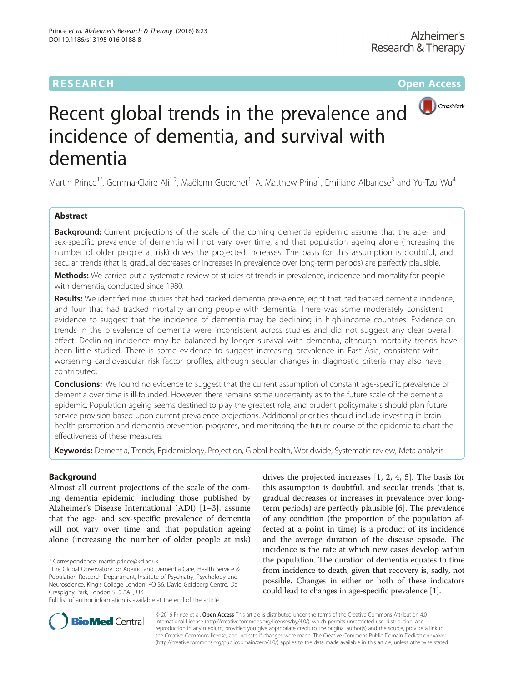# **RESEARCH CHE Open Access**



# Recent global trends in the prevalence and incidence of dementia, and survival with dementia

Martin Prince<sup>1\*</sup>, Gemma-Claire Ali<sup>1,2</sup>, Maëlenn Guerchet<sup>1</sup>, A. Matthew Prina<sup>1</sup>, Emiliano Albanese<sup>3</sup> and Yu-Tzu Wu<sup>4</sup>

# Abstract

**Background:** Current projections of the scale of the coming dementia epidemic assume that the age- and sex-specific prevalence of dementia will not vary over time, and that population ageing alone (increasing the number of older people at risk) drives the projected increases. The basis for this assumption is doubtful, and secular trends (that is, gradual decreases or increases in prevalence over long-term periods) are perfectly plausible.

Methods: We carried out a systematic review of studies of trends in prevalence, incidence and mortality for people with dementia, conducted since 1980.

Results: We identified nine studies that had tracked dementia prevalence, eight that had tracked dementia incidence, and four that had tracked mortality among people with dementia. There was some moderately consistent evidence to suggest that the incidence of dementia may be declining in high-income countries. Evidence on trends in the prevalence of dementia were inconsistent across studies and did not suggest any clear overall effect. Declining incidence may be balanced by longer survival with dementia, although mortality trends have been little studied. There is some evidence to suggest increasing prevalence in East Asia, consistent with worsening cardiovascular risk factor profiles, although secular changes in diagnostic criteria may also have contributed.

**Conclusions:** We found no evidence to suggest that the current assumption of constant age-specific prevalence of dementia over time is ill-founded. However, there remains some uncertainty as to the future scale of the dementia epidemic. Population ageing seems destined to play the greatest role, and prudent policymakers should plan future service provision based upon current prevalence projections. Additional priorities should include investing in brain health promotion and dementia prevention programs, and monitoring the future course of the epidemic to chart the effectiveness of these measures.

Keywords: Dementia, Trends, Epidemiology, Projection, Global health, Worldwide, Systematic review, Meta-analysis

### Background

Almost all current projections of the scale of the coming dementia epidemic, including those published by Alzheimer's Disease International (ADI) [[1](#page-11-0)–[3\]](#page-11-0), assume that the age- and sex-specific prevalence of dementia will not vary over time, and that population ageing alone (increasing the number of older people at risk)

drives the projected increases [[1, 2](#page-11-0), [4](#page-11-0), [5\]](#page-11-0). The basis for this assumption is doubtful, and secular trends (that is, gradual decreases or increases in prevalence over longterm periods) are perfectly plausible [[6\]](#page-11-0). The prevalence of any condition (the proportion of the population affected at a point in time) is a product of its incidence and the average duration of the disease episode. The incidence is the rate at which new cases develop within the population. The duration of dementia equates to time from incidence to death, given that recovery is, sadly, not possible. Changes in either or both of these indicators could lead to changes in age-specific prevalence [\[1](#page-11-0)].



© 2016 Prince et al. Open Access This article is distributed under the terms of the Creative Commons Attribution 4.0 International License [\(http://creativecommons.org/licenses/by/4.0/](http://creativecommons.org/licenses/by/4.0/)), which permits unrestricted use, distribution, and reproduction in any medium, provided you give appropriate credit to the original author(s) and the source, provide a link to the Creative Commons license, and indicate if changes were made. The Creative Commons Public Domain Dedication waiver [\(http://creativecommons.org/publicdomain/zero/1.0/](http://creativecommons.org/publicdomain/zero/1.0/)) applies to the data made available in this article, unless otherwise stated.

<sup>\*</sup> Correspondence: [martin.prince@kcl.ac.uk](mailto:martin.prince@kcl.ac.uk) <sup>1</sup>

<sup>&</sup>lt;sup>1</sup>The Global Observatory for Ageing and Dementia Care, Health Service & Population Research Department, Institute of Psychiatry, Psychology and Neuroscience, King's College London, PO 36, David Goldberg Centre, De Crespigny Park, London SE5 8AF, UK

Full list of author information is available at the end of the article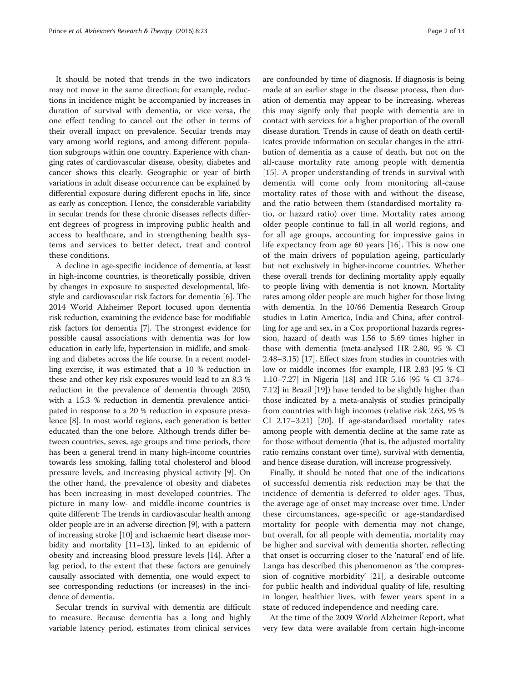It should be noted that trends in the two indicators may not move in the same direction; for example, reductions in incidence might be accompanied by increases in duration of survival with dementia, or vice versa, the one effect tending to cancel out the other in terms of their overall impact on prevalence. Secular trends may vary among world regions, and among different population subgroups within one country. Experience with changing rates of cardiovascular disease, obesity, diabetes and cancer shows this clearly. Geographic or year of birth variations in adult disease occurrence can be explained by differential exposure during different epochs in life, since as early as conception. Hence, the considerable variability in secular trends for these chronic diseases reflects different degrees of progress in improving public health and access to healthcare, and in strengthening health systems and services to better detect, treat and control these conditions.

A decline in age-specific incidence of dementia, at least in high-income countries, is theoretically possible, driven by changes in exposure to suspected developmental, lifestyle and cardiovascular risk factors for dementia [\[6](#page-11-0)]. The 2014 World Alzheimer Report focused upon dementia risk reduction, examining the evidence base for modifiable risk factors for dementia [[7\]](#page-11-0). The strongest evidence for possible causal associations with dementia was for low education in early life, hypertension in midlife, and smoking and diabetes across the life course. In a recent modelling exercise, it was estimated that a 10 % reduction in these and other key risk exposures would lead to an 8.3 % reduction in the prevalence of dementia through 2050, with a 15.3 % reduction in dementia prevalence anticipated in response to a 20 % reduction in exposure prevalence [[8](#page-11-0)]. In most world regions, each generation is better educated than the one before. Although trends differ between countries, sexes, age groups and time periods, there has been a general trend in many high-income countries towards less smoking, falling total cholesterol and blood pressure levels, and increasing physical activity [\[9](#page-11-0)]. On the other hand, the prevalence of obesity and diabetes has been increasing in most developed countries. The picture in many low- and middle-income countries is quite different: The trends in cardiovascular health among older people are in an adverse direction [\[9](#page-11-0)], with a pattern of increasing stroke [\[10\]](#page-11-0) and ischaemic heart disease morbidity and mortality [[11](#page-11-0)–[13\]](#page-11-0), linked to an epidemic of obesity and increasing blood pressure levels [\[14\]](#page-11-0). After a lag period, to the extent that these factors are genuinely causally associated with dementia, one would expect to see corresponding reductions (or increases) in the incidence of dementia.

Secular trends in survival with dementia are difficult to measure. Because dementia has a long and highly variable latency period, estimates from clinical services are confounded by time of diagnosis. If diagnosis is being made at an earlier stage in the disease process, then duration of dementia may appear to be increasing, whereas this may signify only that people with dementia are in contact with services for a higher proportion of the overall disease duration. Trends in cause of death on death certificates provide information on secular changes in the attribution of dementia as a cause of death, but not on the all-cause mortality rate among people with dementia [[15\]](#page-11-0). A proper understanding of trends in survival with dementia will come only from monitoring all-cause mortality rates of those with and without the disease, and the ratio between them (standardised mortality ratio, or hazard ratio) over time. Mortality rates among older people continue to fall in all world regions, and for all age groups, accounting for impressive gains in life expectancy from age 60 years [[16\]](#page-11-0). This is now one of the main drivers of population ageing, particularly but not exclusively in higher-income countries. Whether these overall trends for declining mortality apply equally to people living with dementia is not known. Mortality rates among older people are much higher for those living with dementia. In the 10/66 Dementia Research Group studies in Latin America, India and China, after controlling for age and sex, in a Cox proportional hazards regression, hazard of death was 1.56 to 5.69 times higher in those with dementia (meta-analysed HR 2.80, 95 % CI 2.48–3.15) [[17](#page-11-0)]. Effect sizes from studies in countries with low or middle incomes (for example, HR 2.83 [95 % CI 1.10–7.27] in Nigeria [[18](#page-11-0)] and HR 5.16 [95 % CI 3.74– 7.12] in Brazil [\[19\]](#page-11-0)) have tended to be slightly higher than those indicated by a meta-analysis of studies principally from countries with high incomes (relative risk 2.63, 95 % CI 2.17–3.21) [[20](#page-11-0)]. If age-standardised mortality rates among people with dementia decline at the same rate as for those without dementia (that is, the adjusted mortality ratio remains constant over time), survival with dementia, and hence disease duration, will increase progressively.

Finally, it should be noted that one of the indications of successful dementia risk reduction may be that the incidence of dementia is deferred to older ages. Thus, the average age of onset may increase over time. Under these circumstances, age-specific or age-standardised mortality for people with dementia may not change, but overall, for all people with dementia, mortality may be higher and survival with dementia shorter, reflecting that onset is occurring closer to the 'natural' end of life. Langa has described this phenomenon as 'the compression of cognitive morbidity' [[21\]](#page-11-0), a desirable outcome for public health and individual quality of life, resulting in longer, healthier lives, with fewer years spent in a state of reduced independence and needing care.

At the time of the 2009 World Alzheimer Report, what very few data were available from certain high-income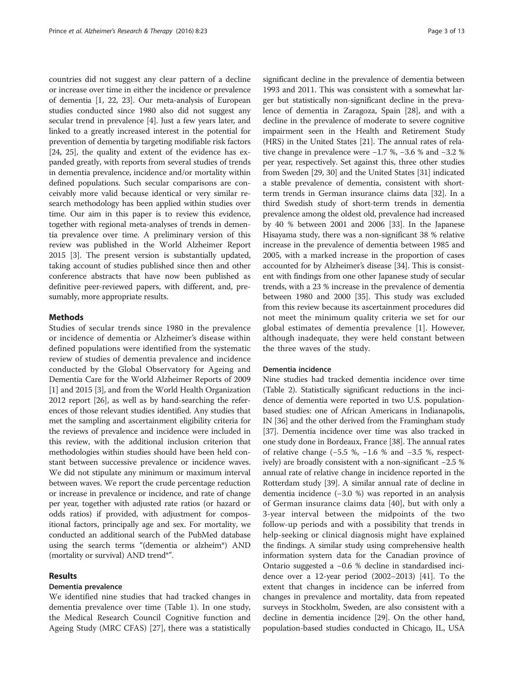countries did not suggest any clear pattern of a decline or increase over time in either the incidence or prevalence of dementia [[1](#page-11-0), [22, 23\]](#page-11-0). Our meta-analysis of European studies conducted since 1980 also did not suggest any secular trend in prevalence [\[4\]](#page-11-0). Just a few years later, and linked to a greatly increased interest in the potential for prevention of dementia by targeting modifiable risk factors [[24](#page-11-0), [25](#page-11-0)], the quality and extent of the evidence has expanded greatly, with reports from several studies of trends in dementia prevalence, incidence and/or mortality within defined populations. Such secular comparisons are conceivably more valid because identical or very similar research methodology has been applied within studies over time. Our aim in this paper is to review this evidence, together with regional meta-analyses of trends in dementia prevalence over time. A preliminary version of this review was published in the World Alzheimer Report 2015 [\[3](#page-11-0)]. The present version is substantially updated, taking account of studies published since then and other conference abstracts that have now been published as definitive peer-reviewed papers, with different, and, presumably, more appropriate results.

#### Methods

Studies of secular trends since 1980 in the prevalence or incidence of dementia or Alzheimer's disease within defined populations were identified from the systematic review of studies of dementia prevalence and incidence conducted by the Global Observatory for Ageing and Dementia Care for the World Alzheimer Reports of 2009 [[1\]](#page-11-0) and 2015 [[3](#page-11-0)], and from the World Health Organization 2012 report [\[26](#page-11-0)], as well as by hand-searching the references of those relevant studies identified. Any studies that met the sampling and ascertainment eligibility criteria for the reviews of prevalence and incidence were included in this review, with the additional inclusion criterion that methodologies within studies should have been held constant between successive prevalence or incidence waves. We did not stipulate any minimum or maximum interval between waves. We report the crude percentage reduction or increase in prevalence or incidence, and rate of change per year, together with adjusted rate ratios (or hazard or odds ratios) if provided, with adjustment for compositional factors, principally age and sex. For mortality, we conducted an additional search of the PubMed database using the search terms "(dementia or alzheim\*) AND (mortality or survival) AND trend\*".

#### Results

### Dementia prevalence

We identified nine studies that had tracked changes in dementia prevalence over time (Table [1](#page-3-0)). In one study, the Medical Research Council Cognitive function and Ageing Study (MRC CFAS) [[27](#page-11-0)], there was a statistically

significant decline in the prevalence of dementia between 1993 and 2011. This was consistent with a somewhat larger but statistically non-significant decline in the prevalence of dementia in Zaragoza, Spain [\[28\]](#page-11-0), and with a decline in the prevalence of moderate to severe cognitive impairment seen in the Health and Retirement Study (HRS) in the United States [[21](#page-11-0)]. The annual rates of relative change in prevalence were −1.7 %, −3.6 % and −3.2 % per year, respectively. Set against this, three other studies from Sweden [[29](#page-11-0), [30\]](#page-12-0) and the United States [\[31](#page-12-0)] indicated a stable prevalence of dementia, consistent with shortterm trends in German insurance claims data [[32](#page-12-0)]. In a third Swedish study of short-term trends in dementia prevalence among the oldest old, prevalence had increased by 40 % between 2001 and 2006 [[33](#page-12-0)]. In the Japanese Hisayama study, there was a non-significant 38 % relative increase in the prevalence of dementia between 1985 and 2005, with a marked increase in the proportion of cases accounted for by Alzheimer's disease [[34](#page-12-0)]. This is consistent with findings from one other Japanese study of secular trends, with a 23 % increase in the prevalence of dementia between 1980 and 2000 [\[35\]](#page-12-0). This study was excluded from this review because its ascertainment procedures did not meet the minimum quality criteria we set for our global estimates of dementia prevalence [[1\]](#page-11-0). However, although inadequate, they were held constant between the three waves of the study.

#### Dementia incidence

Nine studies had tracked dementia incidence over time (Table [2](#page-5-0)). Statistically significant reductions in the incidence of dementia were reported in two U.S. populationbased studies: one of African Americans in Indianapolis, IN [\[36\]](#page-12-0) and the other derived from the Framingham study [[37](#page-12-0)]. Dementia incidence over time was also tracked in one study done in Bordeaux, France [\[38\]](#page-12-0). The annual rates of relative change (−5.5 %, −1.6 % and −3.5 %, respectively) are broadly consistent with a non-significant −2.5 % annual rate of relative change in incidence reported in the Rotterdam study [[39](#page-12-0)]. A similar annual rate of decline in dementia incidence (−3.0 %) was reported in an analysis of German insurance claims data [\[40](#page-12-0)], but with only a 3-year interval between the midpoints of the two follow-up periods and with a possibility that trends in help-seeking or clinical diagnosis might have explained the findings. A similar study using comprehensive health information system data for the Canadian province of Ontario suggested a −0.6 % decline in standardised incidence over a 12-year period (2002–2013) [\[41](#page-12-0)]. To the extent that changes in incidence can be inferred from changes in prevalence and mortality, data from repeated surveys in Stockholm, Sweden, are also consistent with a decline in dementia incidence [\[29\]](#page-11-0). On the other hand, population-based studies conducted in Chicago, IL, USA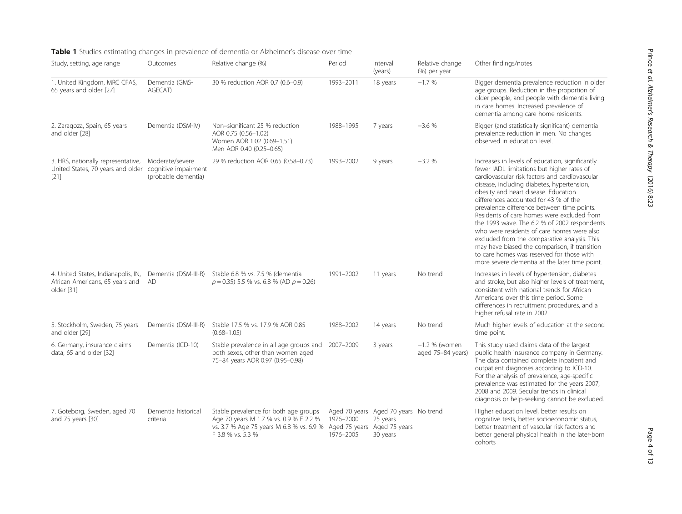| Study, setting, age range                                                                              | Outcomes                               | Relative change (%)                                                                                                                              | Period                 | Interval<br>(years)                                                                         | Relative change<br>(%) per year      | Other findings/notes                                                                                                                                                                                                                                                                                                                                                                                                                                                                                                                                                                                                                                                    |
|--------------------------------------------------------------------------------------------------------|----------------------------------------|--------------------------------------------------------------------------------------------------------------------------------------------------|------------------------|---------------------------------------------------------------------------------------------|--------------------------------------|-------------------------------------------------------------------------------------------------------------------------------------------------------------------------------------------------------------------------------------------------------------------------------------------------------------------------------------------------------------------------------------------------------------------------------------------------------------------------------------------------------------------------------------------------------------------------------------------------------------------------------------------------------------------------|
| 1. United Kingdom, MRC CFAS,<br>65 years and older [27]                                                | Dementia (GMS-<br>AGECAT)              | 30 % reduction AOR 0.7 (0.6-0.9)                                                                                                                 | 1993-2011              | 18 years                                                                                    | $-1.7%$                              | Bigger dementia prevalence reduction in older<br>age groups. Reduction in the proportion of<br>older people, and people with dementia living<br>in care homes. Increased prevalence of<br>dementia among care home residents.                                                                                                                                                                                                                                                                                                                                                                                                                                           |
| 2. Zaragoza, Spain, 65 years<br>and older [28]                                                         | Dementia (DSM-IV)                      | Non-significant 25 % reduction<br>AOR 0.75 (0.56-1.02)<br>Women AOR 1.02 (0.69-1.51)<br>Men AOR 0.40 (0.25-0.65)                                 | 1988-1995              | 7 years                                                                                     | $-3.6%$                              | Bigger (and statistically significant) dementia<br>prevalence reduction in men. No changes<br>observed in education level.                                                                                                                                                                                                                                                                                                                                                                                                                                                                                                                                              |
| 3. HRS, nationally representative,<br>United States, 70 years and older cognitive impairment<br>$[21]$ | Moderate/severe<br>(probable dementia) | 29 % reduction AOR 0.65 (0.58-0.73)                                                                                                              | 1993-2002              | 9 years                                                                                     | $-3.2%$                              | Increases in levels of education, significantly<br>fewer IADL limitations but higher rates of<br>cardiovascular risk factors and cardiovascular<br>disease, including diabetes, hypertension,<br>obesity and heart disease. Education<br>differences accounted for 43 % of the<br>prevalence difference between time points.<br>Residents of care homes were excluded from<br>the 1993 wave. The 6.2 % of 2002 respondents<br>who were residents of care homes were also<br>excluded from the comparative analysis. This<br>may have biased the comparison, if transition<br>to care homes was reserved for those with<br>more severe dementia at the later time point. |
| 4. United States, Indianapolis, IN,<br>African Americans, 65 years and<br>older [31]                   | Dementia (DSM-III-R)<br>AD             | Stable 6.8 % vs. 7.5 % (dementia<br>$p = 0.35$ ) 5.5 % vs. 6.8 % (AD $p = 0.26$ )                                                                | 1991-2002              | 11 years                                                                                    | No trend                             | Increases in levels of hypertension, diabetes<br>and stroke, but also higher levels of treatment,<br>consistent with national trends for African<br>Americans over this time period. Some<br>differences in recruitment procedures, and a<br>higher refusal rate in 2002.                                                                                                                                                                                                                                                                                                                                                                                               |
| 5. Stockholm, Sweden, 75 years<br>and older [29]                                                       | Dementia (DSM-III-R)                   | Stable 17.5 % vs. 17.9 % AOR 0.85<br>$(0.68 - 1.05)$                                                                                             | 1988-2002              | 14 years                                                                                    | No trend                             | Much higher levels of education at the second<br>time point.                                                                                                                                                                                                                                                                                                                                                                                                                                                                                                                                                                                                            |
| 6. Germany, insurance claims<br>data, 65 and older [32]                                                | Dementia (ICD-10)                      | Stable prevalence in all age groups and<br>both sexes, other than women aged<br>75-84 years AOR 0.97 (0.95-0.98)                                 | 2007-2009              | 3 years                                                                                     | $-1.2$ % (women<br>aged 75-84 years) | This study used claims data of the largest<br>public health insurance company in Germany.<br>The data contained complete inpatient and<br>outpatient diagnoses according to ICD-10.<br>For the analysis of prevalence, age-specific<br>prevalence was estimated for the years 2007,<br>2008 and 2009. Secular trends in clinical<br>diagnosis or help-seeking cannot be excluded                                                                                                                                                                                                                                                                                        |
| 7. Goteborg, Sweden, aged 70<br>and 75 years [30]                                                      | Dementia historical<br>criteria        | Stable prevalence for both age groups<br>Age 70 years M 1.7 % vs. 0.9 % F 2.2 %<br>vs. 3.7 % Age 75 years M 6.8 % vs. 6.9 %<br>F 3.8 % vs. 5.3 % | 1976-2000<br>1976-2005 | Aged 70 years Aged 70 years No trend<br>25 years<br>Aged 75 years Aged 75 years<br>30 years |                                      | Higher education level, better results on<br>cognitive tests, better socioeconomic status,<br>better treatment of vascular risk factors and<br>better general physical health in the later-born<br>cohorts                                                                                                                                                                                                                                                                                                                                                                                                                                                              |

# <span id="page-3-0"></span>Table 1 Studies estimating changes in prevalence of dementia or Alzheimer's disease over time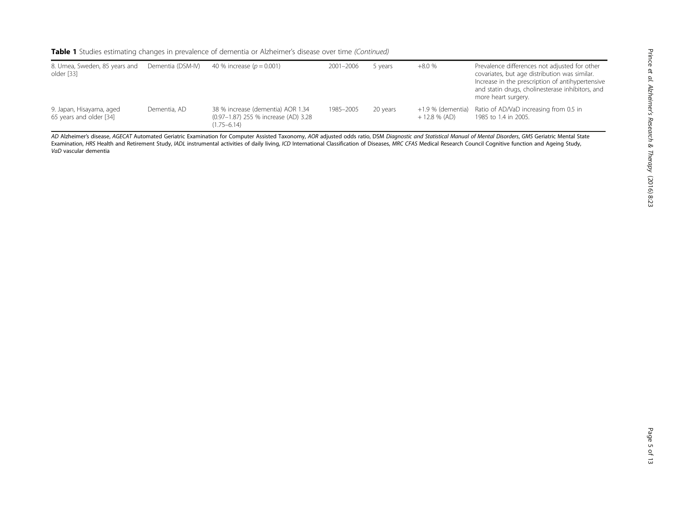| 8. Umea, Sweden, 85 years and<br>older [33]         | Dementia (DSM-IV) | 40 % increase ( $p = 0.001$ )                                                                | 2001-2006 | 5 years  | $+8.0%$        | Prevalence differences not adjusted for other<br>covariates, but age distribution was similar.<br>Increase in the prescription of antihypertensive<br>and statin drugs, cholinesterase inhibitors, and<br>more heart surgery. |
|-----------------------------------------------------|-------------------|----------------------------------------------------------------------------------------------|-----------|----------|----------------|-------------------------------------------------------------------------------------------------------------------------------------------------------------------------------------------------------------------------------|
| 9. Japan, Hisayama, aged<br>65 years and older [34] | Dementia, AD      | 38 % increase (dementia) AOR 1.34<br>(0.97-1.87) 255 % increase (AD) 3.28<br>$(1.75 - 6.14)$ | 1985-2005 | 20 years | $+12.8\%$ (AD) | +1.9 % (dementia) Ratio of AD/VaD increasing from 0.5 in<br>1985 to 1.4 in 2005.                                                                                                                                              |

AD Alzheimer's disease, AGECAT Automated Geriatric Examination for Computer Assisted Taxonomy, AOR adjusted odds ratio, DSM Diagnostic and Statistical Manual of Mental Disorders, GMS Geriatric Mental State Examination, HRS Health and Retirement Study, IADL instrumental activities of daily living, ICD International Classification of Diseases, MRC CFAS Medical Research Council Cognitive function and Ageing Study, VaD vascular dementia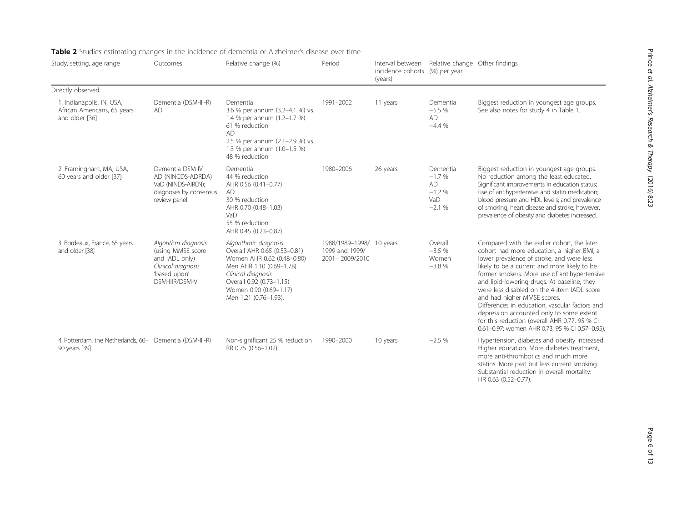| Study, setting, age range                                                  | Outcomes                                                                                                           | Relative change (%)                                                                                                                                                                                                  | Period                                                       | Interval between<br>incidence cohorts (%) per year<br>(years) | Relative change Other findings                                |                                                                                                                                                                                                                                                                                                                                                                                                                                                                                                                                                                      |
|----------------------------------------------------------------------------|--------------------------------------------------------------------------------------------------------------------|----------------------------------------------------------------------------------------------------------------------------------------------------------------------------------------------------------------------|--------------------------------------------------------------|---------------------------------------------------------------|---------------------------------------------------------------|----------------------------------------------------------------------------------------------------------------------------------------------------------------------------------------------------------------------------------------------------------------------------------------------------------------------------------------------------------------------------------------------------------------------------------------------------------------------------------------------------------------------------------------------------------------------|
| Directly observed                                                          |                                                                                                                    |                                                                                                                                                                                                                      |                                                              |                                                               |                                                               |                                                                                                                                                                                                                                                                                                                                                                                                                                                                                                                                                                      |
| 1. Indianapolis, IN, USA,<br>African Americans, 65 years<br>and older [36] | Dementia (DSM-III-R)<br><b>AD</b>                                                                                  | Dementia<br>3.6 % per annum (3.2-4.1 %) vs.<br>1.4 % per annum (1.2-1.7 %)<br>61 % reduction<br><b>AD</b><br>2.5 % per annum (2.1-2.9 %) vs.<br>1.3 % per annum (1.0-1.5 %)<br>48 % reduction                        | 1991-2002                                                    | 11 years                                                      | Dementia<br>$-5.5%$<br><b>AD</b><br>$-4.4%$                   | Biggest reduction in youngest age groups.<br>See also notes for study 4 in Table 1.                                                                                                                                                                                                                                                                                                                                                                                                                                                                                  |
| 2. Framingham, MA, USA,<br>60 years and older [37]                         | Dementia DSM-IV<br>AD (NINCDS-ADRDA)<br>VaD (NINDS-AIREN):<br>diagnoses by consensus<br>review panel               | Dementia<br>44 % reduction<br>AHR 0.56 (0.41-0.77)<br>AD<br>30 % reduction<br>AHR 0.70 (0.48-1.03)<br>VaD<br>55 % reduction<br>AHR 0.45 (0.23-0.87)                                                                  | 1980-2006                                                    | 26 years                                                      | Dementia<br>$-1.7%$<br><b>AD</b><br>$-1.2%$<br>VaD<br>$-2.1%$ | Biggest reduction in youngest age groups.<br>No reduction among the least educated.<br>Significant improvements in education status;<br>use of antihypertensive and statin medication;<br>blood pressure and HDL levels; and prevalence<br>of smoking, heart disease and stroke; however,<br>prevalence of obesity and diabetes increased.                                                                                                                                                                                                                           |
| 3. Bordeaux, France, 65 years<br>and older [38]                            | Algorithm diagnosis<br>(using MMSE score<br>and IADL only)<br>Clinical diagnosis<br>'based upon'<br>DSM-IIIR/DSM-V | Algorithmic diagnosis<br>Overall AHR 0.65 (0.53-0.81)<br>Women AHR 0.62 (0.48-0.80)<br>Men AHR 1.10 (0.69-1.78)<br>Clinical diagnosis<br>Overall 0.92 (0.73-1.15)<br>Women 0.90 (0.69-1.17)<br>Men 1.21 (0.76-1.93). | 1988/1989-1998/ 10 years<br>1999 and 1999/<br>2001-2009/2010 |                                                               | Overall<br>$-3.5%$<br>Women<br>$-3.8%$                        | Compared with the earlier cohort, the later<br>cohort had more education, a higher BMI, a<br>lower prevalence of stroke, and were less<br>likely to be a current and more likely to be<br>former smokers. More use of antihypertensive<br>and lipid-lowering drugs. At baseline, they<br>were less disabled on the 4-item IADL score<br>and had higher MMSE scores.<br>Differences in education, vascular factors and<br>depression accounted only to some extent<br>for this reduction (overall AHR 0.77, 95 % CI<br>0.61-0.97; women AHR 0.73, 95 % CI 0.57-0.95). |
| 4. Rotterdam, the Netherlands, 60- Dementia (DSM-III-R)<br>90 years [39]   |                                                                                                                    | Non-significant 25 % reduction<br>RR 0.75 (0.56-1.02)                                                                                                                                                                | 1990-2000                                                    | 10 years                                                      | $-2.5%$                                                       | Hypertension, diabetes and obesity increased.<br>Higher education. More diabetes treatment,<br>more anti-thrombotics and much more<br>statins. More past but less current smoking.<br>Substantial reduction in overall mortality:<br>HR 0.63 (0.52-0.77).                                                                                                                                                                                                                                                                                                            |

# <span id="page-5-0"></span>Table 2 Studies estimating changes in the incidence of dementia or Alzheimer's disease over time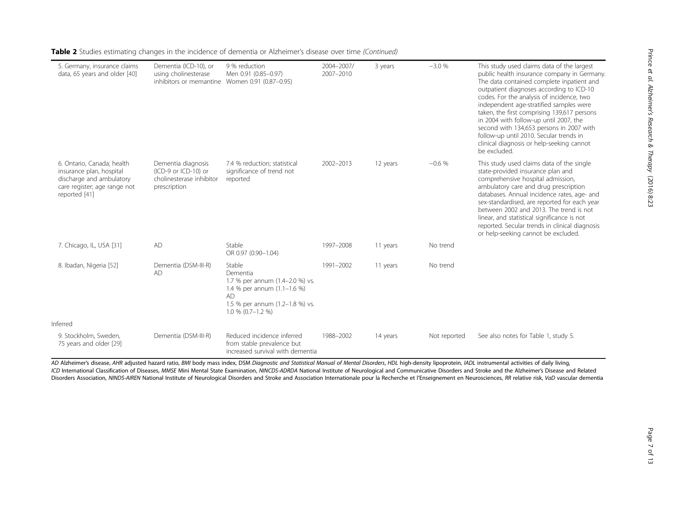| 5. Germany, insurance claims<br>data, 65 years and older [40]                                                                       | Dementia (ICD-10), or<br>using cholinesterase<br>inhibitors or memantine Women 0.91 (0.87-0.95) | 9 % reduction<br>Men 0.91 (0.85-0.97)                                                                                                                         | 2004-2007/<br>2007-2010 | 3 years  | $-3.0%$      | This study used claims data of the largest<br>public health insurance company in Germany.<br>The data contained complete inpatient and<br>outpatient diagnoses according to ICD-10<br>codes. For the analysis of incidence, two<br>independent age-stratified samples were<br>taken, the first comprising 139,617 persons<br>in 2004 with follow-up until 2007, the<br>second with 134,653 persons in 2007 with<br>follow-up until 2010. Secular trends in<br>clinical diagnosis or help-seeking cannot<br>be excluded. |
|-------------------------------------------------------------------------------------------------------------------------------------|-------------------------------------------------------------------------------------------------|---------------------------------------------------------------------------------------------------------------------------------------------------------------|-------------------------|----------|--------------|-------------------------------------------------------------------------------------------------------------------------------------------------------------------------------------------------------------------------------------------------------------------------------------------------------------------------------------------------------------------------------------------------------------------------------------------------------------------------------------------------------------------------|
| 6. Ontario, Canada; health<br>insurance plan, hospital<br>discharge and ambulatory<br>care register; age range not<br>reported [41] | Dementia diagnosis<br>(ICD-9 or ICD-10) or<br>cholinesterase inhibitor<br>prescription          | 7.4 % reduction; statistical<br>significance of trend not<br>reported                                                                                         | 2002-2013               | 12 years | $-0.6%$      | This study used claims data of the single<br>state-provided insurance plan and<br>comprehensive hospital admission,<br>ambulatory care and drug prescription<br>databases. Annual incidence rates, age- and<br>sex-standardised, are reported for each year<br>between 2002 and 2013. The trend is not<br>linear, and statistical significance is not<br>reported. Secular trends in clinical diagnosis<br>or help-seeking cannot be excluded.                                                                          |
| 7. Chicago, IL, USA [31]                                                                                                            | AD                                                                                              | Stable<br>OR 0.97 (0.90-1.04)                                                                                                                                 | 1997-2008               | 11 years | No trend     |                                                                                                                                                                                                                                                                                                                                                                                                                                                                                                                         |
| 8. Ibadan, Nigeria [52]                                                                                                             | Dementia (DSM-III-R)<br><b>AD</b>                                                               | Stable<br>Dementia<br>1.7 % per annum (1.4-2.0 %) vs.<br>1.4 % per annum (1.1-1.6 %)<br><b>AD</b><br>1.5 % per annum (1.2-1.8 %) vs.<br>$1.0 \% (0.7 - 1.2%)$ | 1991-2002               | 11 years | No trend     |                                                                                                                                                                                                                                                                                                                                                                                                                                                                                                                         |
| Inferred                                                                                                                            |                                                                                                 |                                                                                                                                                               |                         |          |              |                                                                                                                                                                                                                                                                                                                                                                                                                                                                                                                         |
| 9. Stockholm, Sweden,<br>75 years and older [29]                                                                                    | Dementia (DSM-III-R)                                                                            | Reduced incidence inferred<br>from stable prevalence but<br>increased survival with dementia                                                                  | 1988-2002               | 14 years | Not reported | See also notes for Table 1, study 5.                                                                                                                                                                                                                                                                                                                                                                                                                                                                                    |

Table 2 Studies estimating changes in the incidence of dementia or Alzheimer's disease over time (Continued)

AD Alzheimer's disease, AHR adjusted hazard ratio, BMI body mass index, DSM Diagnostic and Statistical Manual of Mental Disorders, HDL high-density lipoprotein, IADL instrumental activities of daily living, ICD International Classification of Diseases, MMSE Mini Mental State Examination, NINCDS-ADRDA National Institute of Neurological and Communicative Disorders and Stroke and the Alzheimer's Disease and Related Disorders Association, NINDS-AIREN National Institute of Neurological Disorders and Stroke and Association Internationale pour la Recherche et l'Enseignement en Neurosciences, RR relative risk, VaD vascular dementia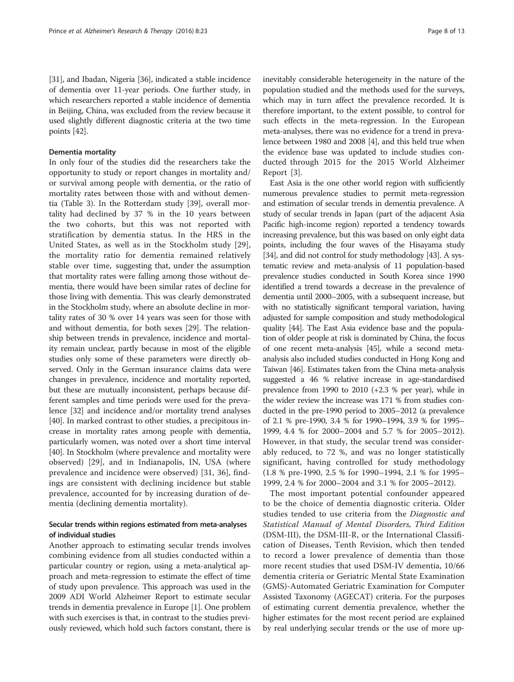[[31](#page-12-0)], and Ibadan, Nigeria [\[36](#page-12-0)], indicated a stable incidence of dementia over 11-year periods. One further study, in which researchers reported a stable incidence of dementia in Beijing, China, was excluded from the review because it used slightly different diagnostic criteria at the two time points [\[42\]](#page-12-0).

#### Dementia mortality

In only four of the studies did the researchers take the opportunity to study or report changes in mortality and/ or survival among people with dementia, or the ratio of mortality rates between those with and without dementia (Table [3\)](#page-8-0). In the Rotterdam study [[39\]](#page-12-0), overall mortality had declined by 37 % in the 10 years between the two cohorts, but this was not reported with stratification by dementia status. In the HRS in the United States, as well as in the Stockholm study [\[29](#page-11-0)], the mortality ratio for dementia remained relatively stable over time, suggesting that, under the assumption that mortality rates were falling among those without dementia, there would have been similar rates of decline for those living with dementia. This was clearly demonstrated in the Stockholm study, where an absolute decline in mortality rates of 30 % over 14 years was seen for those with and without dementia, for both sexes [\[29\]](#page-11-0). The relationship between trends in prevalence, incidence and mortality remain unclear, partly because in most of the eligible studies only some of these parameters were directly observed. Only in the German insurance claims data were changes in prevalence, incidence and mortality reported, but these are mutually inconsistent, perhaps because different samples and time periods were used for the prevalence [\[32](#page-12-0)] and incidence and/or mortality trend analyses [[40](#page-12-0)]. In marked contrast to other studies, a precipitous increase in mortality rates among people with dementia, particularly women, was noted over a short time interval [[40](#page-12-0)]. In Stockholm (where prevalence and mortality were observed) [[29\]](#page-11-0), and in Indianapolis, IN, USA (where prevalence and incidence were observed) [\[31](#page-12-0), [36\]](#page-12-0), findings are consistent with declining incidence but stable prevalence, accounted for by increasing duration of dementia (declining dementia mortality).

### Secular trends within regions estimated from meta-analyses of individual studies

Another approach to estimating secular trends involves combining evidence from all studies conducted within a particular country or region, using a meta-analytical approach and meta-regression to estimate the effect of time of study upon prevalence. This approach was used in the 2009 ADI World Alzheimer Report to estimate secular trends in dementia prevalence in Europe [\[1](#page-11-0)]. One problem with such exercises is that, in contrast to the studies previously reviewed, which hold such factors constant, there is

inevitably considerable heterogeneity in the nature of the population studied and the methods used for the surveys, which may in turn affect the prevalence recorded. It is therefore important, to the extent possible, to control for such effects in the meta-regression. In the European meta-analyses, there was no evidence for a trend in prevalence between 1980 and 2008 [[4](#page-11-0)], and this held true when the evidence base was updated to include studies conducted through 2015 for the 2015 World Alzheimer Report [[3](#page-11-0)].

East Asia is the one other world region with sufficiently numerous prevalence studies to permit meta-regression and estimation of secular trends in dementia prevalence. A study of secular trends in Japan (part of the adjacent Asia Pacific high-income region) reported a tendency towards increasing prevalence, but this was based on only eight data points, including the four waves of the Hisayama study [[34](#page-12-0)], and did not control for study methodology [\[43\]](#page-12-0). A systematic review and meta-analysis of 11 population-based prevalence studies conducted in South Korea since 1990 identified a trend towards a decrease in the prevalence of dementia until 2000–2005, with a subsequent increase, but with no statistically significant temporal variation, having adjusted for sample composition and study methodological quality [[44](#page-12-0)]. The East Asia evidence base and the population of older people at risk is dominated by China, the focus of one recent meta-analysis [[45](#page-12-0)], while a second metaanalysis also included studies conducted in Hong Kong and Taiwan [\[46](#page-12-0)]. Estimates taken from the China meta-analysis suggested a 46 % relative increase in age-standardised prevalence from 1990 to 2010 (+2.3 % per year), while in the wider review the increase was 171 % from studies conducted in the pre-1990 period to 2005–2012 (a prevalence of 2.1 % pre-1990, 3.4 % for 1990–1994, 3.9 % for 1995– 1999, 4.4 % for 2000–2004 and 5.7 % for 2005–2012). However, in that study, the secular trend was considerably reduced, to 72 %, and was no longer statistically significant, having controlled for study methodology (1.8 % pre-1990, 2.5 % for 1990–1994, 2.1 % for 1995– 1999, 2.4 % for 2000–2004 and 3.1 % for 2005–2012).

The most important potential confounder appeared to be the choice of dementia diagnostic criteria. Older studies tended to use criteria from the Diagnostic and Statistical Manual of Mental Disorders, Third Edition (DSM-III), the DSM-III-R, or the International Classification of Diseases, Tenth Revision, which then tended to record a lower prevalence of dementia than those more recent studies that used DSM-IV dementia, 10/66 dementia criteria or Geriatric Mental State Examination (GMS)-Automated Geriatric Examination for Computer Assisted Taxonomy (AGECAT) criteria. For the purposes of estimating current dementia prevalence, whether the higher estimates for the most recent period are explained by real underlying secular trends or the use of more up-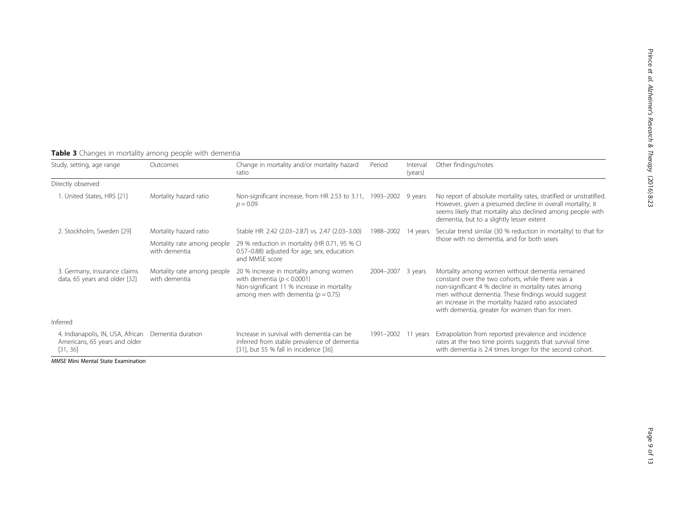| Study, setting, age range                                                      | Outcomes                                     | Change in mortality and/or mortality hazard<br>ratio                                                                                                             | Period    | Interval<br>(years) | Other findings/notes                                                                                                                                                                                                                                                                                                        |  |
|--------------------------------------------------------------------------------|----------------------------------------------|------------------------------------------------------------------------------------------------------------------------------------------------------------------|-----------|---------------------|-----------------------------------------------------------------------------------------------------------------------------------------------------------------------------------------------------------------------------------------------------------------------------------------------------------------------------|--|
| Directly observed                                                              |                                              |                                                                                                                                                                  |           |                     |                                                                                                                                                                                                                                                                                                                             |  |
| 1. United States, HRS [21]                                                     | Mortality hazard ratio                       | Non-significant increase, from HR 2.53 to 3.11, 1993-2002 9 years<br>$p = 0.09$                                                                                  |           |                     | No report of absolute mortality rates, stratified or unstratified.<br>However, given a presumed decline in overall mortality, it<br>seems likely that mortality also declined among people with<br>dementia, but to a slightly lesser extent                                                                                |  |
| 2. Stockholm, Sweden [29]                                                      | Mortality hazard ratio                       | Stable HR: 2.42 (2.03-2.87) vs. 2.47 (2.03-3.00)                                                                                                                 | 1988-2002 | 14 years            | Secular trend similar (30 % reduction in mortality) to that for                                                                                                                                                                                                                                                             |  |
|                                                                                | Mortality rate among people<br>with dementia | 29 % reduction in mortality (HR 0.71, 95 % CI<br>0.57-0.88) adjusted for age, sex, education<br>and MMSE score                                                   |           |                     | those with no dementia, and for both sexes                                                                                                                                                                                                                                                                                  |  |
| 3. Germany, insurance claims<br>data, 65 years and older [32]                  | Mortality rate among people<br>with dementia | 20 % increase in mortality among women<br>with dementia ( $p < 0.0001$ )<br>Non-significant 11 % increase in mortality<br>among men with dementia ( $p = 0.75$ ) | 2004-2007 | 3 years             | Mortality among women without dementia remained<br>constant over the two cohorts, while there was a<br>non-significant 4 % decline in mortality rates among<br>men without dementia. These findings would suggest<br>an increase in the mortality hazard ratio associated<br>with dementia, greater for women than for men. |  |
| Inferred                                                                       |                                              |                                                                                                                                                                  |           |                     |                                                                                                                                                                                                                                                                                                                             |  |
| 4. Indianapolis, IN, USA, African<br>Americans, 65 years and older<br>[31, 36] | Dementia duration                            | Increase in survival with dementia can be<br>inferred from stable prevalence of dementia<br>[31], but 55 % fall in incidence [36]                                | 1991-2002 | 11 years            | Extrapolation from reported prevalence and incidence<br>rates at the two time points suggests that survival time<br>with dementia is 2.4 times longer for the second cohort.                                                                                                                                                |  |

# <span id="page-8-0"></span>Table 3 Changes in mortality among people with dementia

MMSE Mini Mental State Examination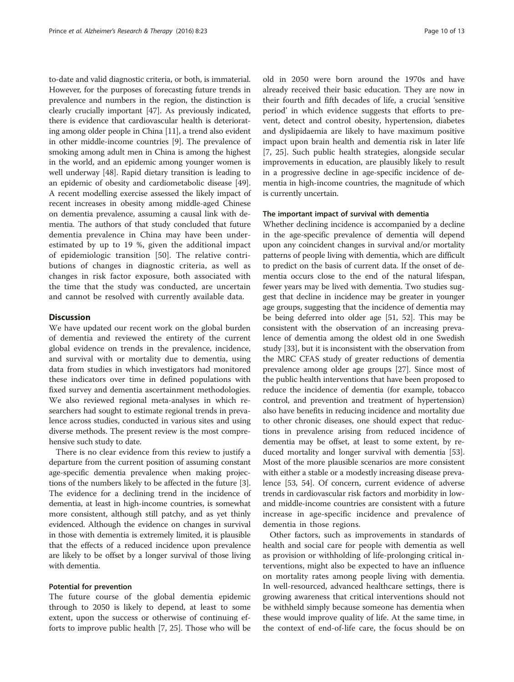to-date and valid diagnostic criteria, or both, is immaterial. However, for the purposes of forecasting future trends in prevalence and numbers in the region, the distinction is clearly crucially important [\[47](#page-12-0)]. As previously indicated, there is evidence that cardiovascular health is deteriorating among older people in China [\[11](#page-11-0)], a trend also evident in other middle-income countries [\[9](#page-11-0)]. The prevalence of smoking among adult men in China is among the highest in the world, and an epidemic among younger women is well underway [\[48\]](#page-12-0). Rapid dietary transition is leading to an epidemic of obesity and cardiometabolic disease [[49](#page-12-0)]. A recent modelling exercise assessed the likely impact of recent increases in obesity among middle-aged Chinese on dementia prevalence, assuming a causal link with dementia. The authors of that study concluded that future dementia prevalence in China may have been underestimated by up to 19 %, given the additional impact of epidemiologic transition [[50](#page-12-0)]. The relative contributions of changes in diagnostic criteria, as well as changes in risk factor exposure, both associated with the time that the study was conducted, are uncertain and cannot be resolved with currently available data.

#### **Discussion**

We have updated our recent work on the global burden of dementia and reviewed the entirety of the current global evidence on trends in the prevalence, incidence, and survival with or mortality due to dementia, using data from studies in which investigators had monitored these indicators over time in defined populations with fixed survey and dementia ascertainment methodologies. We also reviewed regional meta-analyses in which researchers had sought to estimate regional trends in prevalence across studies, conducted in various sites and using diverse methods. The present review is the most comprehensive such study to date.

There is no clear evidence from this review to justify a departure from the current position of assuming constant age-specific dementia prevalence when making projections of the numbers likely to be affected in the future [[3](#page-11-0)]. The evidence for a declining trend in the incidence of dementia, at least in high-income countries, is somewhat more consistent, although still patchy, and as yet thinly evidenced. Although the evidence on changes in survival in those with dementia is extremely limited, it is plausible that the effects of a reduced incidence upon prevalence are likely to be offset by a longer survival of those living with dementia.

#### Potential for prevention

The future course of the global dementia epidemic through to 2050 is likely to depend, at least to some extent, upon the success or otherwise of continuing efforts to improve public health [\[7](#page-11-0), [25](#page-11-0)]. Those who will be old in 2050 were born around the 1970s and have already received their basic education. They are now in their fourth and fifth decades of life, a crucial 'sensitive period' in which evidence suggests that efforts to prevent, detect and control obesity, hypertension, diabetes and dyslipidaemia are likely to have maximum positive impact upon brain health and dementia risk in later life [[7, 25](#page-11-0)]. Such public health strategies, alongside secular improvements in education, are plausibly likely to result in a progressive decline in age-specific incidence of dementia in high-income countries, the magnitude of which is currently uncertain.

#### The important impact of survival with dementia

Whether declining incidence is accompanied by a decline in the age-specific prevalence of dementia will depend upon any coincident changes in survival and/or mortality patterns of people living with dementia, which are difficult to predict on the basis of current data. If the onset of dementia occurs close to the end of the natural lifespan, fewer years may be lived with dementia. Two studies suggest that decline in incidence may be greater in younger age groups, suggesting that the incidence of dementia may be being deferred into older age [[51](#page-12-0), [52\]](#page-12-0). This may be consistent with the observation of an increasing prevalence of dementia among the oldest old in one Swedish study [\[33\]](#page-12-0), but it is inconsistent with the observation from the MRC CFAS study of greater reductions of dementia prevalence among older age groups [\[27\]](#page-11-0). Since most of the public health interventions that have been proposed to reduce the incidence of dementia (for example, tobacco control, and prevention and treatment of hypertension) also have benefits in reducing incidence and mortality due to other chronic diseases, one should expect that reductions in prevalence arising from reduced incidence of dementia may be offset, at least to some extent, by reduced mortality and longer survival with dementia [[53](#page-12-0)]. Most of the more plausible scenarios are more consistent with either a stable or a modestly increasing disease prevalence [\[53, 54](#page-12-0)]. Of concern, current evidence of adverse trends in cardiovascular risk factors and morbidity in lowand middle-income countries are consistent with a future increase in age-specific incidence and prevalence of dementia in those regions.

Other factors, such as improvements in standards of health and social care for people with dementia as well as provision or withholding of life-prolonging critical interventions, might also be expected to have an influence on mortality rates among people living with dementia. In well-resourced, advanced healthcare settings, there is growing awareness that critical interventions should not be withheld simply because someone has dementia when these would improve quality of life. At the same time, in the context of end-of-life care, the focus should be on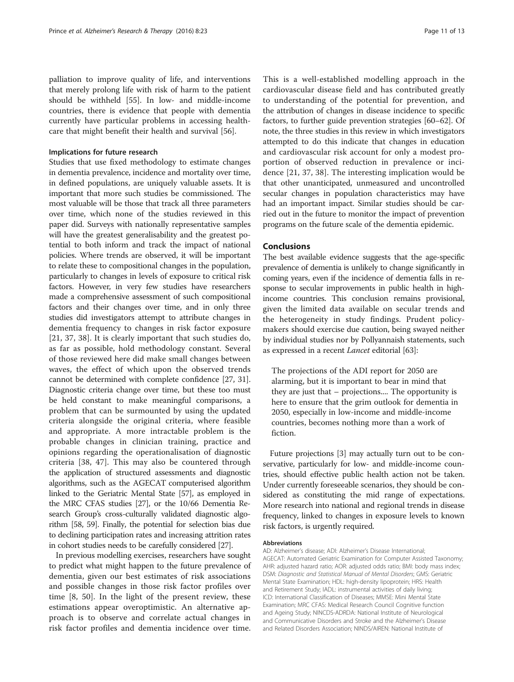palliation to improve quality of life, and interventions that merely prolong life with risk of harm to the patient should be withheld [\[55\]](#page-12-0). In low- and middle-income countries, there is evidence that people with dementia currently have particular problems in accessing healthcare that might benefit their health and survival [[56\]](#page-12-0).

#### Implications for future research

Studies that use fixed methodology to estimate changes in dementia prevalence, incidence and mortality over time, in defined populations, are uniquely valuable assets. It is important that more such studies be commissioned. The most valuable will be those that track all three parameters over time, which none of the studies reviewed in this paper did. Surveys with nationally representative samples will have the greatest generalisability and the greatest potential to both inform and track the impact of national policies. Where trends are observed, it will be important to relate these to compositional changes in the population, particularly to changes in levels of exposure to critical risk factors. However, in very few studies have researchers made a comprehensive assessment of such compositional factors and their changes over time, and in only three studies did investigators attempt to attribute changes in dementia frequency to changes in risk factor exposure [[21,](#page-11-0) [37](#page-12-0), [38\]](#page-12-0). It is clearly important that such studies do, as far as possible, hold methodology constant. Several of those reviewed here did make small changes between waves, the effect of which upon the observed trends cannot be determined with complete confidence [[27](#page-11-0), [31](#page-12-0)]. Diagnostic criteria change over time, but these too must be held constant to make meaningful comparisons, a problem that can be surmounted by using the updated criteria alongside the original criteria, where feasible and appropriate. A more intractable problem is the probable changes in clinician training, practice and opinions regarding the operationalisation of diagnostic criteria [[38](#page-12-0), [47\]](#page-12-0). This may also be countered through the application of structured assessments and diagnostic algorithms, such as the AGECAT computerised algorithm linked to the Geriatric Mental State [\[57\]](#page-12-0), as employed in the MRC CFAS studies [[27](#page-11-0)], or the 10/66 Dementia Research Group's cross-culturally validated diagnostic algorithm [\[58, 59\]](#page-12-0). Finally, the potential for selection bias due to declining participation rates and increasing attrition rates in cohort studies needs to be carefully considered [[27](#page-11-0)].

In previous modelling exercises, researchers have sought to predict what might happen to the future prevalence of dementia, given our best estimates of risk associations and possible changes in those risk factor profiles over time [\[8](#page-11-0), [50\]](#page-12-0). In the light of the present review, these estimations appear overoptimistic. An alternative approach is to observe and correlate actual changes in risk factor profiles and dementia incidence over time.

This is a well-established modelling approach in the cardiovascular disease field and has contributed greatly to understanding of the potential for prevention, and the attribution of changes in disease incidence to specific factors, to further guide prevention strategies [[60](#page-12-0)–[62\]](#page-12-0). Of note, the three studies in this review in which investigators attempted to do this indicate that changes in education and cardiovascular risk account for only a modest proportion of observed reduction in prevalence or incidence [\[21](#page-11-0), [37](#page-12-0), [38\]](#page-12-0). The interesting implication would be that other unanticipated, unmeasured and uncontrolled secular changes in population characteristics may have had an important impact. Similar studies should be carried out in the future to monitor the impact of prevention programs on the future scale of the dementia epidemic.

#### Conclusions

The best available evidence suggests that the age-specific prevalence of dementia is unlikely to change significantly in coming years, even if the incidence of dementia falls in response to secular improvements in public health in highincome countries. This conclusion remains provisional, given the limited data available on secular trends and the heterogeneity in study findings. Prudent policymakers should exercise due caution, being swayed neither by individual studies nor by Pollyannaish statements, such as expressed in a recent Lancet editorial [[63](#page-12-0)]:

The projections of the ADI report for 2050 are alarming, but it is important to bear in mind that they are just that – projections.... The opportunity is here to ensure that the grim outlook for dementia in 2050, especially in low-income and middle-income countries, becomes nothing more than a work of fiction.

Future projections [\[3](#page-11-0)] may actually turn out to be conservative, particularly for low- and middle-income countries, should effective public health action not be taken. Under currently foreseeable scenarios, they should be considered as constituting the mid range of expectations. More research into national and regional trends in disease frequency, linked to changes in exposure levels to known risk factors, is urgently required.

#### Abbreviations

AD: Alzheimer's disease; ADI: Alzheimer's Disease International; AGECAT: Automated Geriatric Examination for Computer Assisted Taxonomy; AHR: adjusted hazard ratio; AOR: adjusted odds ratio; BMI: body mass index; DSM: Diagnostic and Statistical Manual of Mental Disorders; GMS: Geriatric Mental State Examination; HDL: high-density lipoprotein; HRS: Health and Retirement Study; IADL: instrumental activities of daily living; ICD: International Classification of Diseases; MMSE: Mini Mental State Examination; MRC CFAS: Medical Research Council Cognitive function and Ageing Study; NINCDS-ADRDA: National Institute of Neurological and Communicative Disorders and Stroke and the Alzheimer's Disease and Related Disorders Association; NINDS/AIREN: National Institute of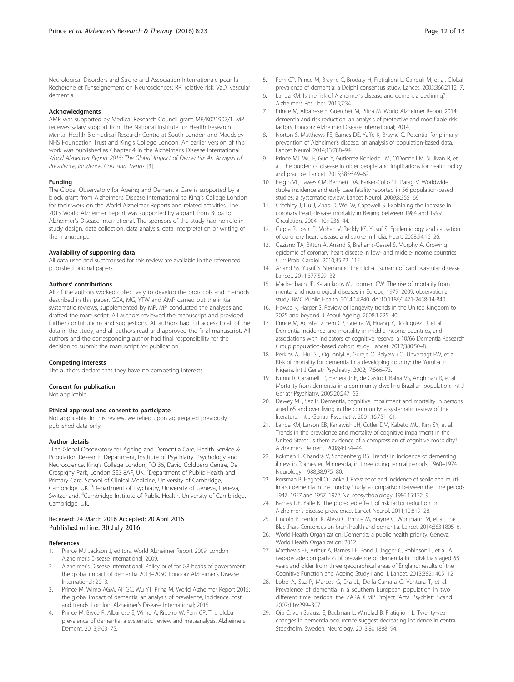<span id="page-11-0"></span>Neurological Disorders and Stroke and Association Internationale pour la Recherche et l'Enseignement en Neurosciences; RR: relative risk; VaD: vascular dementia.

#### Acknowledgments

AMP was supported by Medical Research Council grant MR/K021907/1. MP receives salary support from the National Institute for Health Research Mental Health Biomedical Research Centre at South London and Maudsley NHS Foundation Trust and King's College London. An earlier version of this work was published as Chapter 4 in the Alzheimer's Disease International World Alzheimer Report 2015: The Global Impact of Dementia: An Analysis of Prevalence, Incidence, Cost and Trends [3].

#### Funding

The Global Observatory for Ageing and Dementia Care is supported by a block grant from Alzheimer's Disease International to King's College London for their work on the World Alzheimer Reports and related activities. The 2015 World Alzheimer Report was supported by a grant from Bupa to Alzheimer's Disease International. The sponsors of the study had no role in study design, data collection, data analysis, data interpretation or writing of the manuscript.

#### Availability of supporting data

All data used and summarised for this review are available in the referenced published original papers.

#### Authors' contributions

All of the authors worked collectively to develop the protocols and methods described in this paper. GCA, MG, YTW and AMP carried out the initial systematic reviews, supplemented by MP. MP conducted the analyses and drafted the manuscript. All authors reviewed the manuscript and provided further contributions and suggestions. All authors had full access to all of the data in the study, and all authors read and approved the final manuscript. All authors and the corresponding author had final responsibility for the decision to submit the manuscript for publication.

#### Competing interests

The authors declare that they have no competing interests.

#### Consent for publication

Not applicable.

#### Ethical approval and consent to participate

Not applicable. In this review, we relied upon aggregated previously published data only.

#### Author details

<sup>1</sup>The Global Observatory for Ageing and Dementia Care, Health Service & Population Research Department, Institute of Psychiatry, Psychology and Neuroscience, King's College London, PO 36, David Goldberg Centre, De Crespigny Park, London SE5 8AF, UK. <sup>2</sup>Department of Public Health and Primary Care, School of Clinical Medicine, University of Cambridge, Cambridge, UK. <sup>3</sup>Department of Psychiatry, University of Geneva, Geneva, Switzerland. <sup>4</sup>Cambridge Institute of Public Health, University of Cambridge, Cambridge, UK.

#### Received: 24 March 2016 Accepted: 20 April 2016 Published online: 30 July 2016

#### References

- 1. Prince MJ, Jackson J, editors. World Alzheimer Report 2009. London: Alzheimer's Disease International; 2009.
- 2. Alzheimer's Disease International. Policy brief for G8 heads of government: the global impact of dementia 2013–2050. London: Alzheimer's Disease International; 2013.
- Prince M, Wimo AGM, Ali GC, Wu YT, Prina M. World Alzheimer Report 2015: the global impact of dementia: an analysis of prevalence, incidence, cost and trends. London: Alzheimer's Disease International; 2015.
- 4. Prince M, Bryce R, Albanese E, Wimo A, Ribeiro W, Ferri CP. The global prevalence of dementia: a systematic review and metaanalysis. Alzheimers Dement. 2013;9:63–75.
- 5. Ferri CP, Prince M, Brayne C, Brodaty H, Fratiglioni L, Ganguli M, et al. Global prevalence of dementia: a Delphi consensus study. Lancet. 2005;366:2112–7.
- 6. Langa KM. Is the risk of Alzheimer's disease and dementia declining? Alzheimers Res Ther. 2015;7:34.
- 7. Prince M, Albanese E, Guerchet M, Prina M. World Alzheimer Report 2014: dementia and risk reduction. an analysis of protective and modifiable risk factors. London: Alzheimer Disease International; 2014.
- 8. Norton S, Matthews FE, Barnes DE, Yaffe K, Brayne C. Potential for primary prevention of Alzheimer's disease: an analysis of population-based data. Lancet Neurol. 2014;13:788–94.
- 9. Prince MJ, Wu F, Guo Y, Gutierrez Robledo LM, O'Donnell M, Sullivan R, et al. The burden of disease in older people and implications for health policy and practice. Lancet. 2015;385:549–62.
- 10. Feigin VL, Lawes CM, Bennett DA, Barker-Collo SL, Parag V. Worldwide stroke incidence and early case fatality reported in 56 population-based studies: a systematic review. Lancet Neurol. 2009;8:355–69.
- 11. Critchley J, Liu J, Zhao D, Wei W, Capewell S. Explaining the increase in coronary heart disease mortality in Beijing between 1984 and 1999. Circulation. 2004;110:1236–44.
- 12. Gupta R, Joshi P, Mohan V, Reddy KS, Yusuf S. Epidemiology and causation of coronary heart disease and stroke in India. Heart. 2008;94:16–26.
- 13. Gaziano TA, Bitton A, Anand S, Brahams-Gessel S, Murphy A. Growing epidemic of coronary heart disease in low- and middle-income countries. Curr Probl Cardiol. 2010;35:72–115.
- 14. Anand SS, Yusuf S. Stemming the global tsunami of cardiovascular disease. Lancet. 2011;377:529–32.
- 15. Mackenbach JP, Karanikolos M, Looman CW. The rise of mortality from mental and neurological diseases in Europe, 1979–2009: observational study. BMC Public Health. 2014;14:840. doi:[10.1186/1471-2458-14-840](http://dx.doi.org/10.1186/1471-2458-14-840).
- 16. Howse K, Harper S. Review of longevity trends in the United Kingdom to 2025 and beyond. J Popul Ageing. 2008;1:225–40.
- 17. Prince M, Acosta D, Ferri CP, Guerra M, Huang Y, Rodriguez JJ, et al. Dementia incidence and mortality in middle-income countries, and associations with indicators of cognitive reserve: a 10/66 Dementia Research Group population-based cohort study. Lancet. 2012;380:50–8.
- 18. Perkins AJ, Hui SL, Ogunniyi A, Gureje O, Baiyewu O, Unverzagt FW, et al. Risk of mortality for dementia in a developing country: the Yoruba in Nigeria. Int J Geriatr Psychiatry. 2002;17:566–73.
- 19. Nitrini R, Caramelli P, Herrera Jr E, de Castro I, Bahia VS, Anghinah R, et al. Mortality from dementia in a community-dwelling Brazilian population. Int J Geriatr Psychiatry. 2005;20:247–53.
- 20. Dewey ME, Saz P. Dementia, cognitive impairment and mortality in persons aged 65 and over living in the community: a systematic review of the literature. Int J Geriatr Psychiatry. 2001;16:751–61.
- 21. Langa KM, Larson EB, Karlawish JH, Cutler DM, Kabeto MU, Kim SY, et al. Trends in the prevalence and mortality of cognitive impairment in the United States: is there evidence of a compression of cognitive morbidity? Alzheimers Dement. 2008;4:134–44.
- 22. Kokmen E, Chandra V, Schoenberg BS. Trends in incidence of dementing illness in Rochester, Minnesota, in three quinquennial periods, 1960–1974. Neurology. 1988;38:975–80.
- 23. Rorsman B, Hagnell O, Lanke J. Prevalence and incidence of senile and multiinfarct dementia in the Lundby Study: a comparison between the time periods 1947–1957 and 1957–1972. Neuropsychobiology. 1986;15:122–9.
- 24. Barnes DE, Yaffe K. The projected effect of risk factor reduction on Alzheimer's disease prevalence. Lancet Neurol. 2011;10:819–28.
- 25. Lincoln P, Fenton K, Alessi C, Prince M, Brayne C, Wortmann M, et al. The Blackfriars Consensus on brain health and dementia. Lancet. 2014;383:1805–6.
- 26. World Health Organization. Dementia: a public health priority. Geneva: World Health Organization; 2012.
- 27. Matthews FE, Arthur A, Barnes LE, Bond J, Jagger C, Robinson L, et al. A two-decade comparison of prevalence of dementia in individuals aged 65 years and older from three geographical areas of England: results of the Cognitive Function and Ageing Study I and II. Lancet. 2013;382:1405–12.
- 28. Lobo A, Saz P, Marcos G, Dia JL, De-la-Camara C, Ventura T, et al. Prevalence of dementia in a southern European population in two different time periods: the ZARADEMP Project. Acta Psychiatr Scand. 2007;116:299–307.
- 29. Qiu C, von Strauss E, Backman L, Winblad B, Fratiglioni L. Twenty-year changes in dementia occurrence suggest decreasing incidence in central Stockholm, Sweden. Neurology. 2013;80:1888–94.